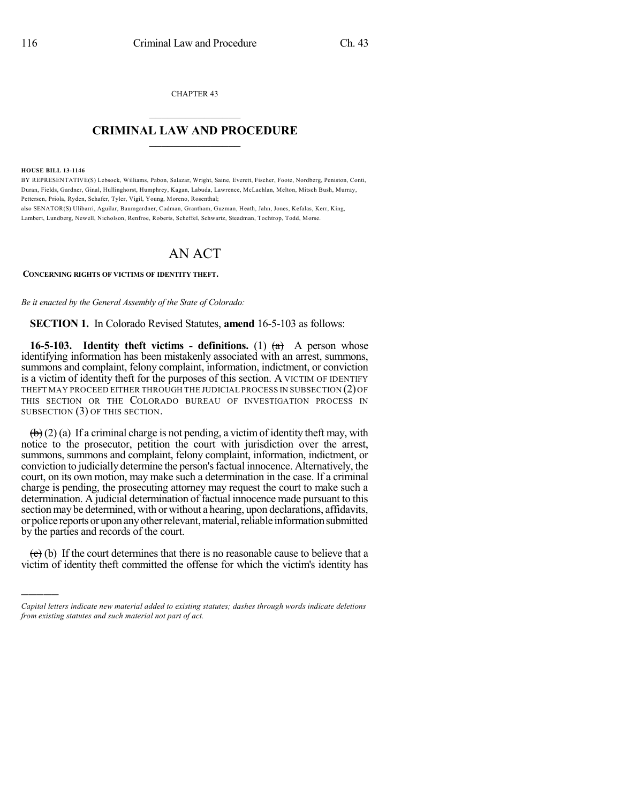CHAPTER 43  $\mathcal{L}_\text{max}$  . The set of the set of the set of the set of the set of the set of the set of the set of the set of the set of the set of the set of the set of the set of the set of the set of the set of the set of the set

## **CRIMINAL LAW AND PROCEDURE**  $\frac{1}{2}$  ,  $\frac{1}{2}$  ,  $\frac{1}{2}$  ,  $\frac{1}{2}$  ,  $\frac{1}{2}$  ,  $\frac{1}{2}$  ,  $\frac{1}{2}$

**HOUSE BILL 13-1146**

)))))

BY REPRESENTATIVE(S) Lebsock, Williams, Pabon, Salazar, Wright, Saine, Everett, Fischer, Foote, Nordberg, Peniston, Conti, Duran, Fields, Gardner, Ginal, Hullinghorst, Humphrey, Kagan, Labuda, Lawrence, McLachlan, Melton, Mitsch Bush, Murray, Pettersen, Priola, Ryden, Schafer, Tyler, Vigil, Young, Moreno, Rosenthal; also SENATOR(S) Ulibarri, Aguilar, Baumgardner, Cadman, Grantham, Guzman, Heath, Jahn, Jones, Kefalas, Kerr, King,

Lambert, Lundberg, Newell, Nicholson, Renfroe, Roberts, Scheffel, Schwartz, Steadman, Tochtrop, Todd, Morse.

## AN ACT

**CONCERNING RIGHTS OF VICTIMS OF IDENTITY THEFT.**

*Be it enacted by the General Assembly of the State of Colorado:*

**SECTION 1.** In Colorado Revised Statutes, **amend** 16-5-103 as follows:

**16-5-103.** Identity theft victims - definitions. (1)  $(a)$  A person whose identifying information has been mistakenly associated with an arrest, summons, summons and complaint, felony complaint, information, indictment, or conviction is a victim of identity theft for the purposes of this section. A VICTIM OF IDENTIFY THEFT MAY PROCEED EITHER THROUGH THE JUDICIAL PROCESS IN SUBSECTION (2)OF THIS SECTION OR THE COLORADO BUREAU OF INVESTIGATION PROCESS IN SUBSECTION (3) OF THIS SECTION.

 $\left(\frac{h}{b}\right)$  (2) (a) If a criminal charge is not pending, a victim of identity theft may, with notice to the prosecutor, petition the court with jurisdiction over the arrest, summons, summons and complaint, felony complaint, information, indictment, or conviction to judicially determine the person's factual innocence. Alternatively, the court, on its own motion, may make such a determination in the case. If a criminal charge is pending, the prosecuting attorney may request the court to make such a determination. A judicial determination of factual innocence made pursuant to this section may be determined, with or without a hearing, upon declarations, affidavits, or police reports or upon any other relevant, material, reliable information submitted by the parties and records of the court.

 $\overline{(e)}$  (b) If the court determines that there is no reasonable cause to believe that a victim of identity theft committed the offense for which the victim's identity has

*Capital letters indicate new material added to existing statutes; dashes through words indicate deletions from existing statutes and such material not part of act.*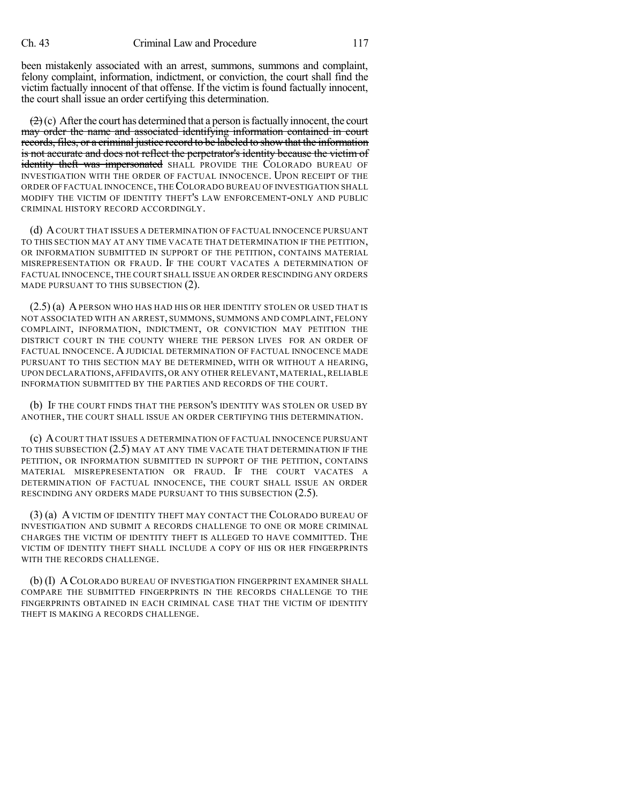been mistakenly associated with an arrest, summons, summons and complaint, felony complaint, information, indictment, or conviction, the court shall find the victim factually innocent of that offense. If the victim is found factually innocent, the court shall issue an order certifying this determination.

 $(2)$ (c) After the court has determined that a person is factually innocent, the court may order the name and associated identifying information contained in court records, files, or a criminal justice record to be labeled to show that the information is not accurate and does not reflect the perpetrator's identity because the victim of identity theft was impersonated SHALL PROVIDE THE COLORADO BUREAU OF INVESTIGATION WITH THE ORDER OF FACTUAL INNOCENCE. UPON RECEIPT OF THE ORDER OF FACTUAL INNOCENCE, THECOLORADO BUREAU OF INVESTIGATION SHALL MODIFY THE VICTIM OF IDENTITY THEFT'S LAW ENFORCEMENT-ONLY AND PUBLIC CRIMINAL HISTORY RECORD ACCORDINGLY.

(d) ACOURT THAT ISSUES A DETERMINATION OF FACTUAL INNOCENCE PURSUANT TO THIS SECTION MAY AT ANY TIME VACATE THAT DETERMINATION IF THE PETITION, OR INFORMATION SUBMITTED IN SUPPORT OF THE PETITION, CONTAINS MATERIAL MISREPRESENTATION OR FRAUD. IF THE COURT VACATES A DETERMINATION OF FACTUAL INNOCENCE, THE COURT SHALL ISSUE AN ORDER RESCINDING ANY ORDERS MADE PURSUANT TO THIS SUBSECTION (2).

 $(2.5)$  (a) A person who has had his or her identity stolen or used that is NOT ASSOCIATED WITH AN ARREST, SUMMONS, SUMMONS AND COMPLAINT, FELONY COMPLAINT, INFORMATION, INDICTMENT, OR CONVICTION MAY PETITION THE DISTRICT COURT IN THE COUNTY WHERE THE PERSON LIVES FOR AN ORDER OF FACTUAL INNOCENCE. A JUDICIAL DETERMINATION OF FACTUAL INNOCENCE MADE PURSUANT TO THIS SECTION MAY BE DETERMINED, WITH OR WITHOUT A HEARING, UPON DECLARATIONS,AFFIDAVITS,OR ANY OTHER RELEVANT, MATERIAL,RELIABLE INFORMATION SUBMITTED BY THE PARTIES AND RECORDS OF THE COURT.

(b) IF THE COURT FINDS THAT THE PERSON'S IDENTITY WAS STOLEN OR USED BY ANOTHER, THE COURT SHALL ISSUE AN ORDER CERTIFYING THIS DETERMINATION.

(c) ACOURT THAT ISSUES A DETERMINATION OF FACTUAL INNOCENCE PURSUANT TO THIS SUBSECTION (2.5) MAY AT ANY TIME VACATE THAT DETERMINATION IF THE PETITION, OR INFORMATION SUBMITTED IN SUPPORT OF THE PETITION, CONTAINS MATERIAL MISREPRESENTATION OR FRAUD. IF THE COURT VACATES A DETERMINATION OF FACTUAL INNOCENCE, THE COURT SHALL ISSUE AN ORDER RESCINDING ANY ORDERS MADE PURSUANT TO THIS SUBSECTION (2.5).

(3) (a) A VICTIM OF IDENTITY THEFT MAY CONTACT THE COLORADO BUREAU OF INVESTIGATION AND SUBMIT A RECORDS CHALLENGE TO ONE OR MORE CRIMINAL CHARGES THE VICTIM OF IDENTITY THEFT IS ALLEGED TO HAVE COMMITTED. THE VICTIM OF IDENTITY THEFT SHALL INCLUDE A COPY OF HIS OR HER FINGERPRINTS WITH THE RECORDS CHALLENGE.

(b) (I) A COLORADO BUREAU OF INVESTIGATION FINGERPRINT EXAMINER SHALL COMPARE THE SUBMITTED FINGERPRINTS IN THE RECORDS CHALLENGE TO THE FINGERPRINTS OBTAINED IN EACH CRIMINAL CASE THAT THE VICTIM OF IDENTITY THEFT IS MAKING A RECORDS CHALLENGE.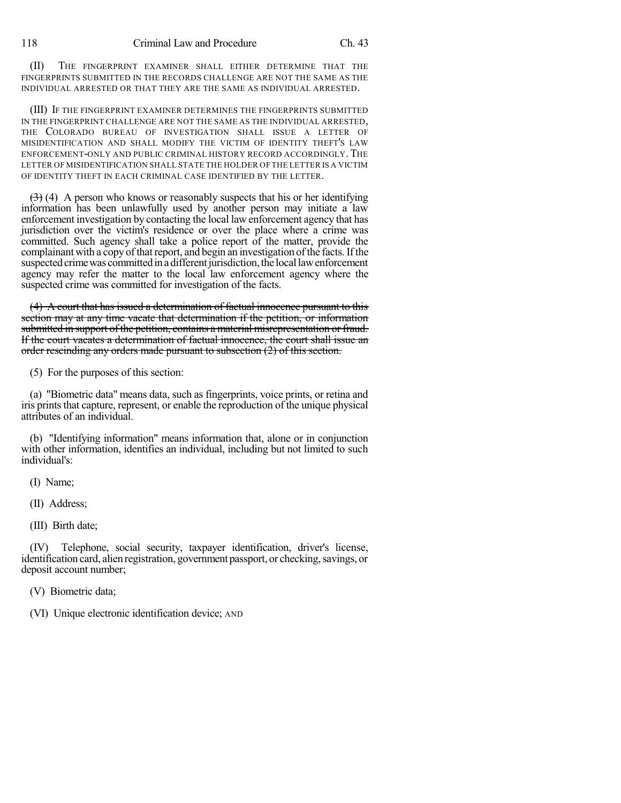(II) THE FINGERPRINT EXAMINER SHALL EITHER DETERMINE THAT THE FINGERPRINTS SUBMITTED IN THE RECORDS CHALLENGE ARE NOT THE SAME AS THE INDIVIDUAL ARRESTED OR THAT THEY ARE THE SAME AS INDIVIDUAL ARRESTED.

(III) IF THE FINGERPRINT EXAMINER DETERMINES THE FINGERPRINTS SUBMITTED IN THE FINGERPRINT CHALLENGE ARE NOT THE SAME AS THE INDIVIDUAL ARRESTED, THE COLORADO BUREAU OF INVESTIGATION SHALL ISSUE A LETTER OF MISIDENTIFICATION AND SHALL MODIFY THE VICTIM OF IDENTITY THEFT'S LAW ENFORCEMENT-ONLY AND PUBLIC CRIMINAL HISTORY RECORD ACCORDINGLY. THE LETTER OF MISIDENTIFICATION SHALL STATE THE HOLDER OF THE LETTER IS A VICTIM OF IDENTITY THEFT IN EACH CRIMINAL CASE IDENTIFIED BY THE LETTER.

 $(3)$  (4) A person who knows or reasonably suspects that his or her identifying information has been unlawfully used by another person may initiate a law enforcement investigation by contacting the local law enforcement agency that has jurisdiction over the victim's residence or over the place where a crime was committed. Such agency shall take a police report of the matter, provide the complainant with a copy of that report, and begin an investigation of the facts. If the suspected crime was committed in a different jurisdiction, the local law enforcement agency may refer the matter to the local law enforcement agency where the suspected crime was committed for investigation of the facts.

(4) A court that has issued a determination of factual innocence pursuant to this section may at any time vacate that determination if the petition, or information submitted in support of the petition, contains a material misrepresentation or fraud. If the court vacates a determination of factual innocence, the court shall issue an order rescinding any orders made pursuant to subsection (2) of this section.

(5) For the purposes of this section:

(a) "Biometric data" means data, such as fingerprints, voice prints, or retina and iris prints that capture, represent, or enable the reproduction of the unique physical attributes of an individual.

(b) "Identifying information" means information that, alone or in conjunction with other information, identifies an individual, including but not limited to such individual's:

(I) Name;

(II) Address;

(III) Birth date;

(IV) Telephone, social security, taxpayer identification, driver's license, identification card, alien registration, government passport, or checking, savings, or deposit account number;

(V) Biometric data;

(VI) Unique electronic identification device; AND